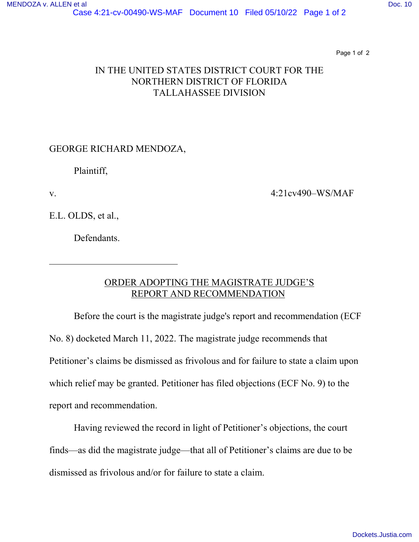Page 1 of 2

## IN THE UNITED STATES DISTRICT COURT FOR THE NORTHERN DISTRICT OF FLORIDA TALLAHASSEE DIVISION

## GEORGE RICHARD MENDOZA,

Plaintiff,

 $\overline{a}$ 

v. 4:21cv490–WS/MAF

E.L. OLDS, et al.,

Defendants.

## ORDER ADOPTING THE MAGISTRATE JUDGE'S REPORT AND RECOMMENDATION

Before the court is the magistrate judge's report and recommendation (ECF No. 8) docketed March 11, 2022. The magistrate judge recommends that Petitioner's claims be dismissed as frivolous and for failure to state a claim upon which relief may be granted. Petitioner has filed objections (ECF No. 9) to the report and recommendation.

Having reviewed the record in light of Petitioner's objections, the court finds—as did the magistrate judge—that all of Petitioner's claims are due to be dismissed as frivolous and/or for failure to state a claim.